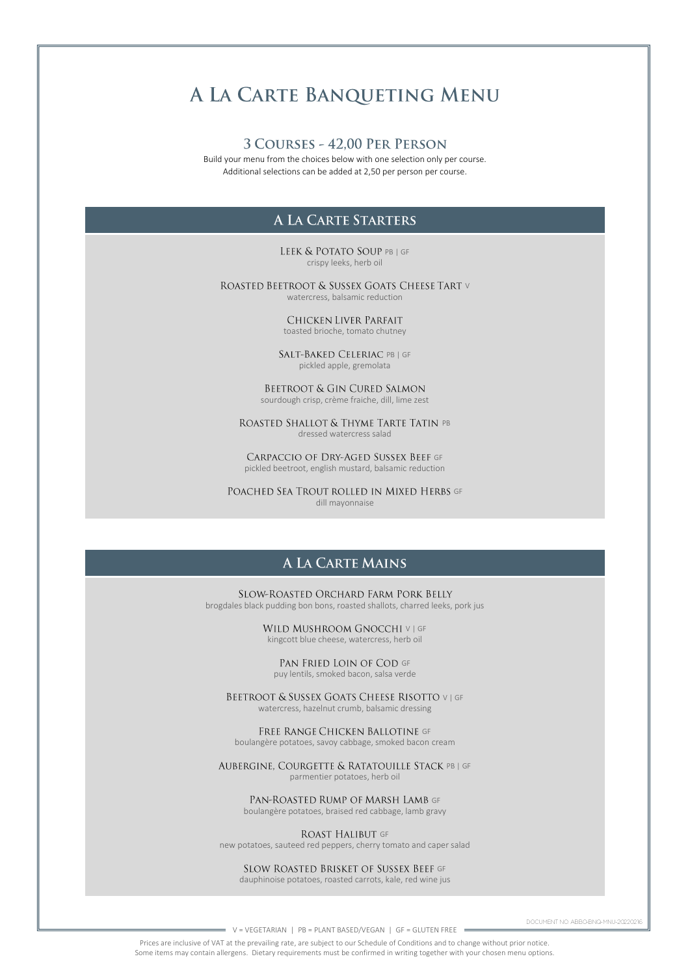# A LA CARTE BANQUETING MENU

#### 3 COURSES - 42,00 PER PERSON

Build your menu from the choices below with one selection only per course. Additional selections can be added at 2,50 per person per course.

# A LA CARTE STARTERS

LEEK & POTATO SOUP PB | GF crispy leeks, herb oil

ROASTED BEETROOT & SUSSEX GOATS CHEESE TART V watercress, balsamic reduction

> CHICKEN LIVER PARFAIT toasted brioche, tomato chutney

SALT-BAKED CELERIAC PB | GF pickled apple, gremolata

BEETROOT & GIN CURED SALMON sourdough crisp, crème fraiche, dill, lime zest

ROASTED SHALLOT & THYME TARTE TATIN PB dressed watercress salad

CARPACCIO OF DRY-AGED SUSSEX BEEF GF pickled beetroot, english mustard, balsamic reduction

POACHED SEA TROUT ROLLED IN MIXED HERBS GF dill mayonnaise

# **A LA CARTE MAINS**

SLOW-ROASTED ORCHARD FARM PORK BELLY brogdales black pudding bon bons, roasted shallots, charred leeks, pork jus

> WILD MUSHROOM GNOCCHI V | GF kingcott blue cheese, watercress, herb oil

PAN FRIED LOIN OF COD GF puy lentils, smoked bacon, salsa verde

BEETROOT & SUSSEX GOATS CHEESE RISOTTO V | GF watercress, hazelnut crumb, balsamic dressing

FREE RANGE CHICKEN BALLOTINE GF boulangère potatoes, savoy cabbage, smoked bacon cream

AUBERGINE, COURGETTE & RATATOUILLE STACK PB | GF parmentier potatoes, herb oil

PAN-ROASTED RUMP OF MARSH LAMB GF boulangère potatoes, braised red cabbage, lamb gravy

ROAST HALIBUT GF new potatoes, sauteed red peppers, cherry tomato and caper salad

SLOW ROASTED BRISKET OF SUSSEX BEEF GF dauphinoise potatoes, roasted carrots, kale, red wine jus

DOCUMENT NO: ABBO-BNQ-MNU-20220216

V = VEGETARIAN | PB = PLANT BASED/VEGAN | GF = GLUTEN FREE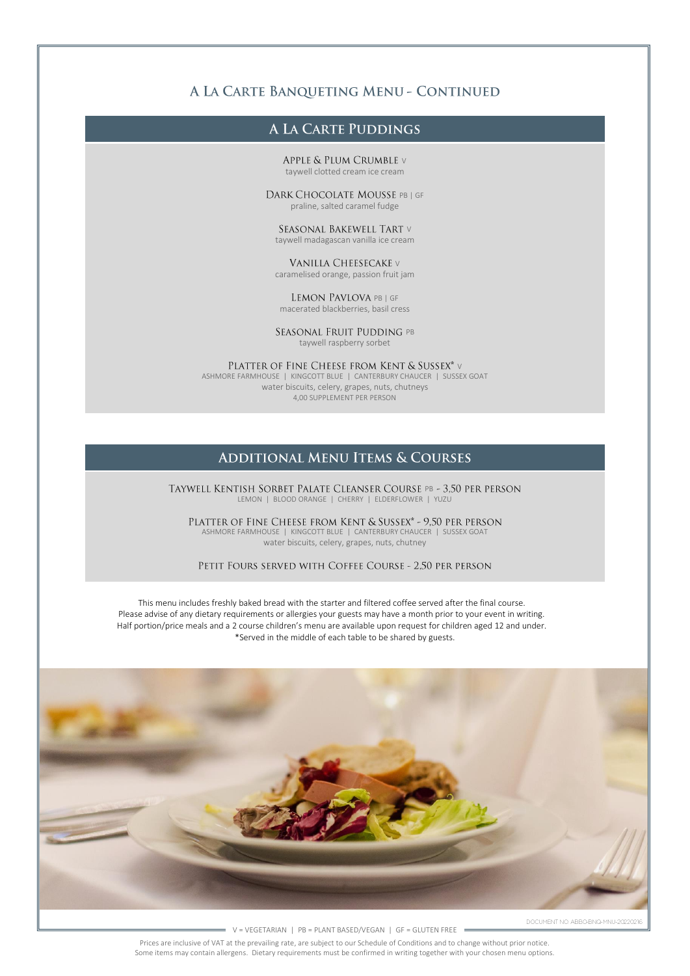# A LA CARTE BANQUETING MENU - CONTINUED

# A LA CARTE PUDDINGS

APPLE & PLUM CRUMBLE V taywell clotted cream ice cream

DARK CHOCOLATE MOUSSE PB | GF praline, salted caramel fudge

SEASONAL BAKEWELL TART V taywell madagascan vanilla ice cream

**VANILLA CHEESECAKE** V caramelised orange, passion fruit jam

LEMON PAVLOVA PB | GF macerated blackberries, basil cress

SEASONAL FRUIT PUDDING PB taywell raspberry sorbet

PLATTER OF FINE CHEESE FROM KENT & SUSSEX\* v ASHMORE FARMHOUSE | KINGCOTT BLUE | CANTERBURY CHAUCER | SUSSEX GOAT

water biscuits, celery, grapes, nuts, chutneys 4,00 SUPPLEMENT PER PERSON

# **ADDITIONAL MENU ITEMS & COURSES**

TAYWELL KENTISH SORBET PALATE CLEANSER COURSE PB - 3,50 PER PERSON LEMON | BLOOD ORANGE | CHERRY | ELDERFLOWER | YUZU

PLATTER OF FINE CHEESE FROM KENT & SUSSEX\* - 9,50 PER PERSON ASHMORE FARMHOUSE | KINGCOTT BLUE | CANTERBURY CHAUCER | SUSSEX GOAT water biscuits, celery, grapes, nuts, chutney

PETIT FOURS SERVED WITH COFFEE COURSE - 2,50 PER PERSON

This menu includes freshly baked bread with the starter and filtered coffee served after the final course. Please advise of any dietary requirements or allergies your guests may have a month prior to your event in writing. Half portion/price meals and a 2 course children's menu are available upon request for children aged 12 and under. \*Served in the middle of each table to be shared by guests.



V = VEGETARIAN | PB = PLANT BASED/VEGAN | GF = GLUTEN FREE

Prices are inclusive of VAT at the prevailing rate, are subject to our Schedule of Conditions and to change without prior notice.

Some items may contain allergens. Dietary requirements must be confirmed in writing together with your chosen menu options.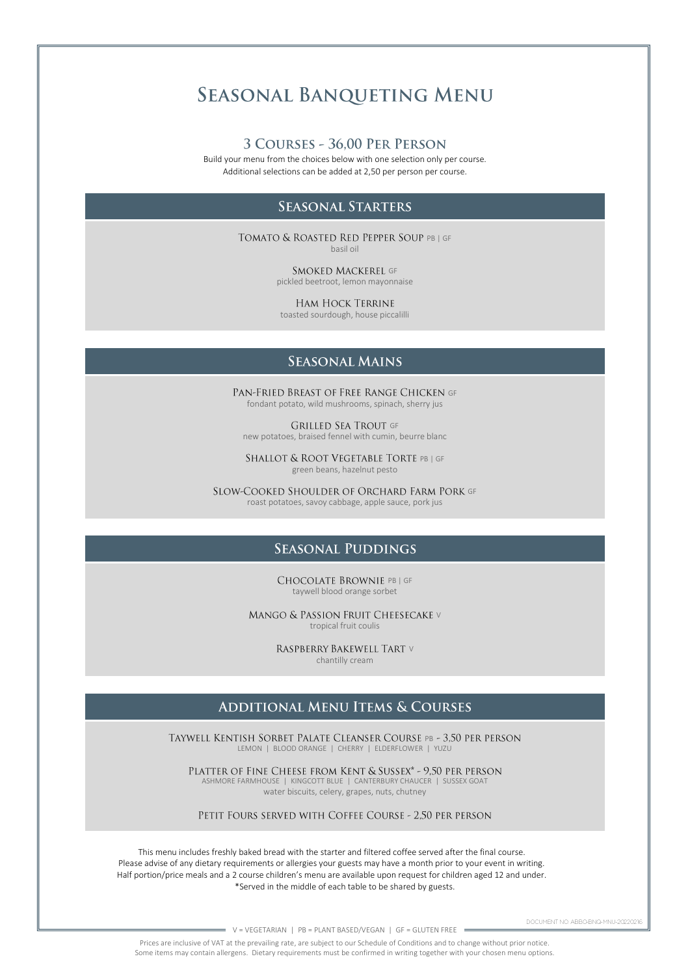# **SEASONAL BANQUETING MENU**

#### 3 COURSES - 36,00 PER PERSON

Build your menu from the choices below with one selection only per course. Additional selections can be added at 2,50 per person per course.

### **SEASONAL STARTERS**

TOMATO & ROASTED RED PEPPER SOUP PB | GF basil oil

> SMOKED MACKEREL GF pickled beetroot, lemon mayonnaise

**HAM HOCK TERRINE** toasted sourdough, house piccalilli

# **SEASONAL MAINS**

PAN-FRIED BREAST OF FREE RANGE CHICKEN GF fondant potato, wild mushrooms, spinach, sherry jus

**GRILLED SEA TROUT GF** new potatoes, braised fennel with cumin, beurre blanc

SHALLOT & ROOT VEGETABLE TORTE PB | GF green beans, hazelnut pesto

SLOW-COOKED SHOULDER OF ORCHARD FARM PORK GF roast potatoes, savoy cabbage, apple sauce, pork jus

### **SEASONAL PUDDINGS**

CHOCOLATE BROWNIE PB | GF taywell blood orange sorbet

MANGO & PASSION FRUIT CHEESECAKE V tropical fruit coulis

> RASPBERRY BAKEWELL TART V chantilly cream

# **ADDITIONAL MENU ITEMS & COURSES**

TAYWELL KENTISH SORBET PALATE CLEANSER COURSE PB - 3,50 PER PERSON LEMON | BLOOD ORANGE | CHERRY | ELDERFLOWER | YUZU

PLATTER OF FINE CHEESE FROM KENT & SUSSEX\* - 9,50 PER PERSON ASHMORE FARMHOUSE | KINGCOTT BLUE | CANTERBURY CHAUCER | SUSSEX GOAT water biscuits, celery, grapes, nuts, chutney

PETIT FOURS SERVED WITH COFFEE COURSE - 2,50 PER PERSON

This menu includes freshly baked bread with the starter and filtered coffee served after the final course. Please advise of any dietary requirements or allergies your guests may have a month prior to your event in writing. Half portion/price meals and a 2 course children's menu are available upon request for children aged 12 and under. \*Served in the middle of each table to be shared by guests.

DOCUMENT NO: ABBO-BNQ-MNU-20220216

 $= V = VEGETARIAN$  | PB = PLANT BASED/VEGAN | GF = GLUTEN FREE =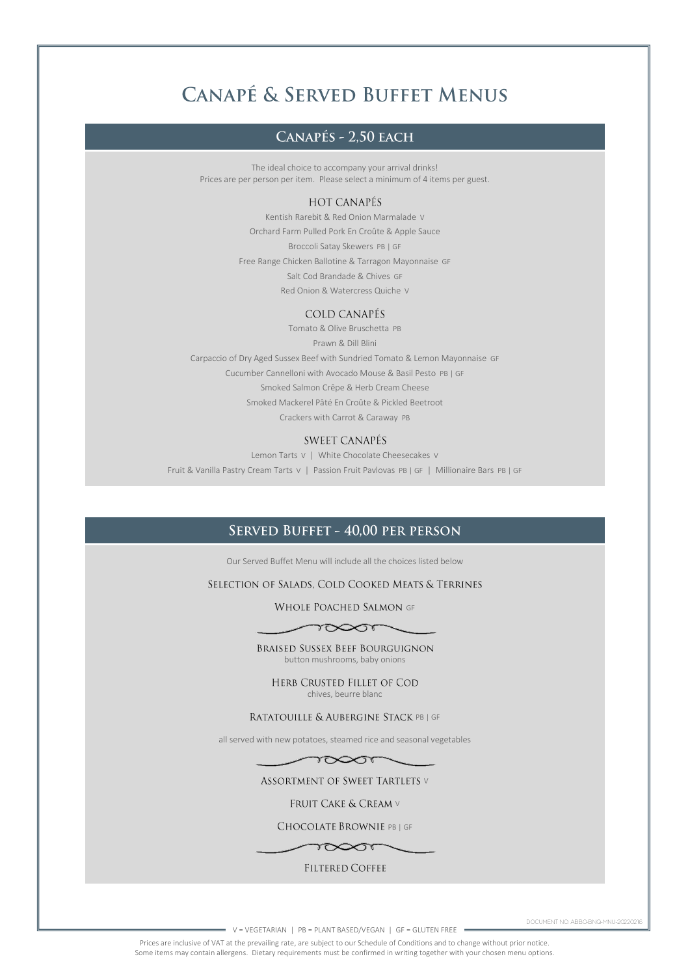# **CANAPÉ & SERVED BUFFET MENUS**

# CANAPÉS - 2.50 EACH

The ideal choice to accompany your arrival drinks! Prices are per person per item. Please select a minimum of 4 items per guest.

#### **HOT CANAPÉS**

Kentish Rarebit & Red Onion Marmalade V Orchard Farm Pulled Pork En Croûte & Apple Sauce Broccoli Satay Skewers PB | GF Free Range Chicken Ballotine & Tarragon Mayonnaise GF Salt Cod Brandade & Chives GF Red Onion & Watercress Quiche V

#### **COLD CANAPÉS**

Tomato & Olive Bruschetta PB Prawn & Dill Blini Carpaccio of Dry Aged Sussex Beef with Sundried Tomato & Lemon Mayonnaise GF Cucumber Cannelloni with Avocado Mouse & Basil Pesto PB | GF Smoked Salmon Crêpe & Herb Cream Cheese Smoked Mackerel Pâté En Croûte & Pickled Beetroot Crackers with Carrot & Caraway PB

### **SWEET CANAPÉS**

Lemon Tarts V | White Chocolate Cheesecakes V Fruit & Vanilla Pastry Cream Tarts V | Passion Fruit Pavlovas PB | GF | Millionaire Bars PB | GF

# SERVED BUFFET - 40.00 PER PERSON

Our Served Buffet Menu will include all the choices listed below

#### SELECTION OF SALADS, COLD COOKED MEATS & TERRINES

WHOLE POACHED SALMON GF

#### $\longrightarrow$

**BRAISED SUSSEX BEEF BOURGUIGNON** button mushrooms, baby onions

HERB CRUSTED FILLET OF COD chives, beurre blanc

RATATOUILLE & AUBERGINE STACK PB | GF

all served with new potatoes, steamed rice and seasonal vegetables



#### **ASSORTMENT OF SWEET TARTLETS V**

FRUIT CAKE & CREAM V

CHOCOLATE BROWNIE PB | GF

 $\sim$ 

#### **FILTERED COFFEE**

DOCUMENT NO: ABBO-BNQ-MNU-20220216

V = VEGETARIAN | PB = PLANT BASED/VEGAN | GF = GLUTEN FREE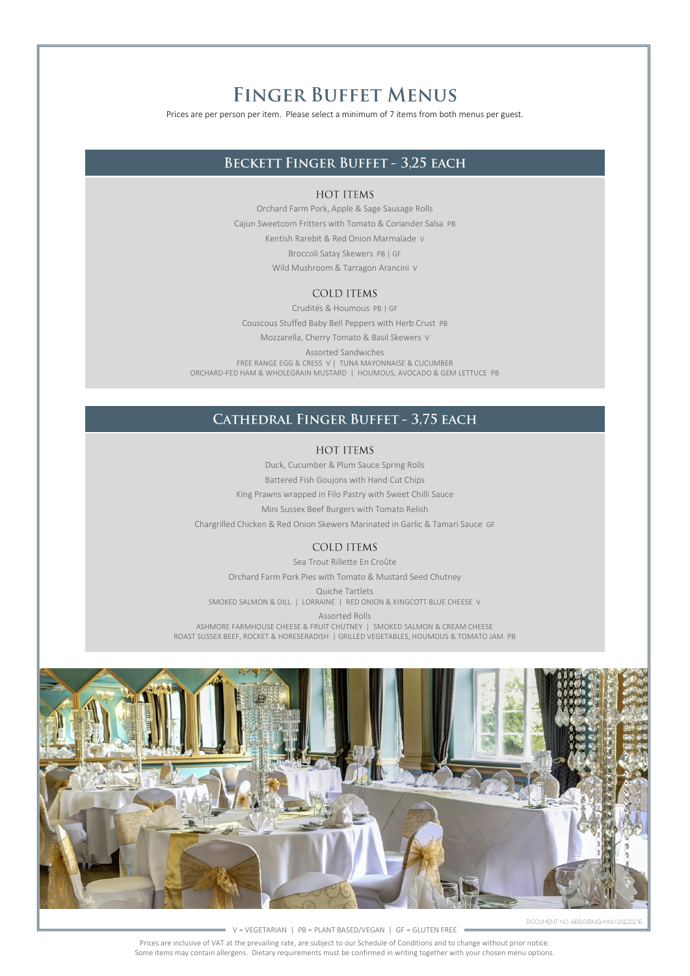# **FINGER BUFFET MENUS**

Prices are per person per item. Please select a minimum of 7 items from both menus per guest.

# **BECKETT FINGER BUFFET - 3.25 EACH**

#### **HOT ITEMS**

Orchard Farm Pork, Apple & Sage Sausage Rolls Cajun Sweetcorn Fritters with Tomato & Coriander Salsa PB Kentish Rarebit & Red Onion Marmalade V Broccoli Satay Skewers PB | GF Wild Mushroom & Tarragon Arancini V

#### **COLD ITEMS**

Crudités & Houmous PB | GF Couscous Stuffed Baby Bell Peppers with Herb Crust PB

Mozzarella, Cherry Tomato & Basil Skewers V Assorted Sandwiches FREE RANGE EGG & CRESS V | TUNA MAYONNAISE & CUCUMBER ORCHARD-FED HAM & WHOLEGRAIN MUSTARD | HOUMOUS, AVOCADO & GEM LETTUCE PB

# CATHEDRAL FINGER BUFFET - 3,75 EACH

#### **HOT ITEMS**

Duck, Cucumber & Plum Sauce Spring Rolls

Battered Fish Goujons with Hand Cut Chips

King Prawns wrapped in Filo Pastry with Sweet Chilli Sauce

Mini Sussex Beef Burgers with Tomato Relish

Chargrilled Chicken & Red Onion Skewers Marinated in Garlic & Tamari Sauce GF

#### **COLD ITEMS**

Sea Trout Rillette En Croûte

Orchard Farm Pork Pies with Tomato & Mustard Seed Chutney

Quiche Tartlets

SMOKED SALMON & DILL | LORRAINE | RED ONION & KINGCOTT BLUE CHEESE V

Assorted Rolls

ASHMORE FARMHOUSE CHEESE & FRUIT CHUTNEY | SMOKED SALMON & CREAM CHEESE ROAST SUSSEX BEEF, ROCKET & HORESERADISH | GRILLED VEGETABLES, HOUMOUS & TOMATO JAM PB



DOCUMENT NO: ABBO-BNQ-MNU-20220216

V = VEGETARIAN | PB = PLANT BASED/VEGAN | GF = GLUTEN FREE